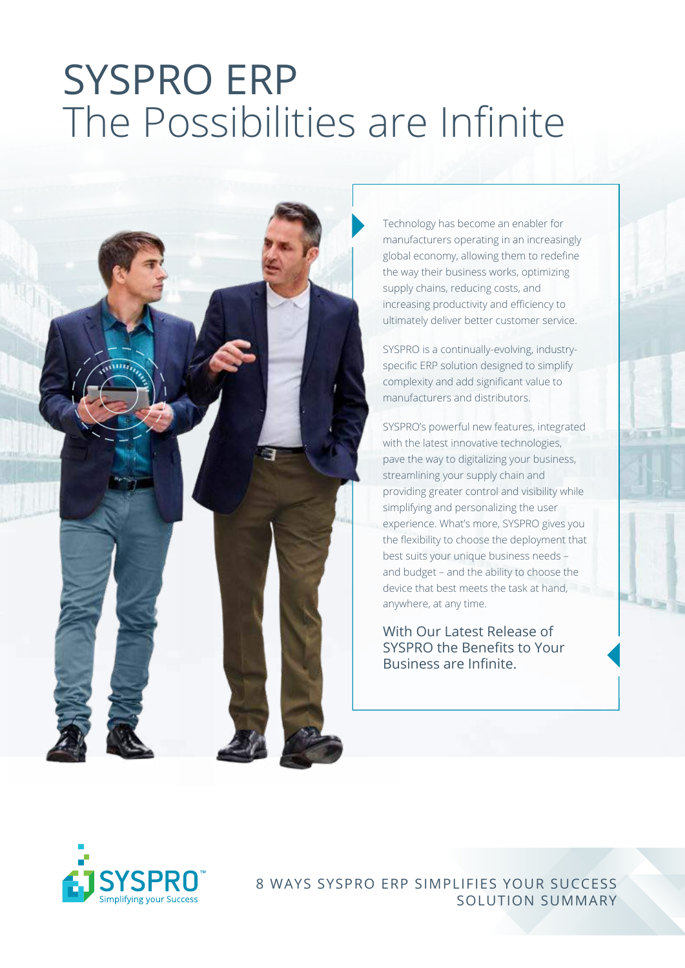## SYSPRO ERP The Possibilities are Infinite



Technology has become an enabler for manufacturers operating in an increasingly global economy, allowing them to redefine the way their business works, optimizing supply chains, reducing costs, and increasing productivity and efficiency to ultimately deliver better customer service.

SYSPRO is a continually-evolving, industryspecific ERP solution designed to simplify complexity and add significant value to manufacturers and distributors.

SYSPRO's powerful new features, integrated with the latest innovative technologies, pave the way to digitalizing your business, streamlining your supply chain and providing greater control and visibility while simplifying and personalizing the user experience. What's more, SYSPRO gives you the flexibility to choose the deployment that best suits your unique business needs – and budget – and the ability to choose the device that best meets the task at hand, anywhere, at any time.

With Our Latest Release of SYSPRO the Benefits to Your Business are Infinite.



8 WAYS SYSPRO ERP SIMPLIFIES YOUR SUCCESS SOLUTION SUMMARY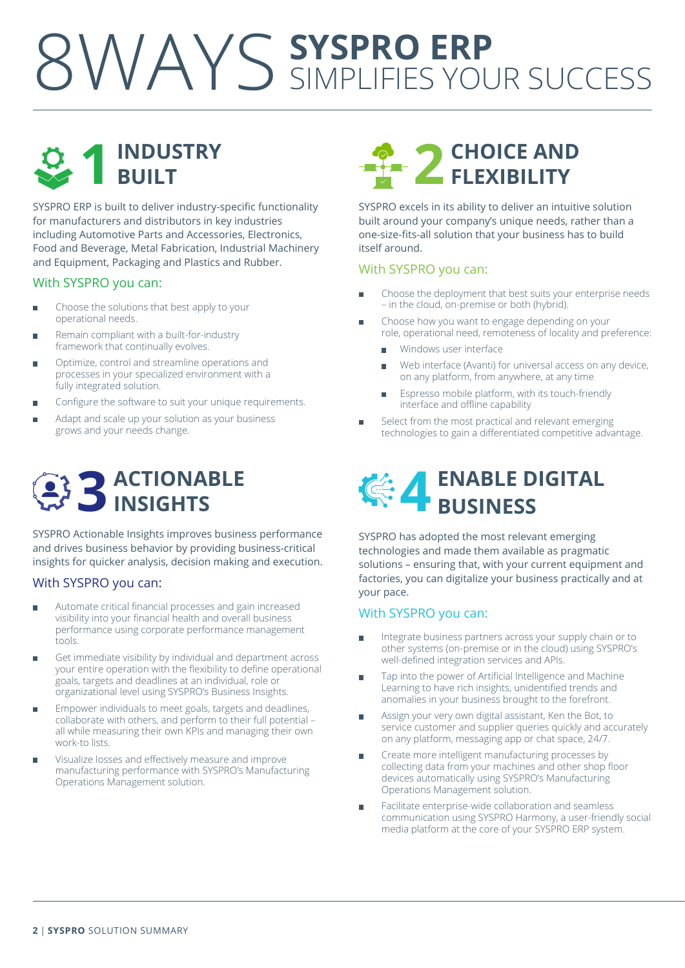### 8WAYS **SYSPRO ERP** SIMPLIFIES YOUR SUCCESS



SYSPRO ERP is built to deliver industry-specific functionality for manufacturers and distributors in key industries including Automotive Parts and Accessories, Electronics, Food and Beverage, Metal Fabrication, Industrial Machinery and Equipment, Packaging and Plastics and Rubber.

#### With SYSPRO you can:

- Choose the solutions that best apply to your Ė operational needs.
- Remain compliant with a built-for-industry framework that continually evolves.
- Optimize, control and streamline operations and  $\overline{a}$ processes in your specialized environment with a fully integrated solution.
- Configure the software to suit your unique requirements. п
- Adapt and scale up your solution as your business grows and your needs change.



SYSPRO Actionable Insights improves business performance and drives business behavior by providing business-critical insights for quicker analysis, decision making and execution.

### With SYSPRO you can:

- Automate critical financial processes and gain increased ь visibility into your financial health and overall business performance using corporate performance management tools.
- Get immediate visibility by individual and department across your entire operation with the flexibility to define operational goals, targets and deadlines at an individual, role or organizational level using SYSPRO's Business Insights.
- Empower individuals to meet goals, targets and deadlines, Ē collaborate with others, and perform to their full potential – all while measuring their own KPIs and managing their own work-to lists.
- Visualize losses and effectively measure and improve ÷ manufacturing performance with SYSPRO's Manufacturing Operations Management solution.



SYSPRO excels in its ability to deliver an intuitive solution built around your company's unique needs, rather than a one-size-fits-all solution that your business has to build itself around.

### With SYSPRO you can:

- Ē. Choose the deployment that best suits your enterprise needs – in the cloud, on-premise or both (hybrid).
- Choose how you want to engage depending on your  $\blacksquare$ role, operational need, remoteness of locality and preference:
	- $\blacksquare$ Windows user interface
	- Web interface (Avanti) for universal access on any device,  $\overline{a}$ on any platform, from anywhere, at any time
	- Espresso mobile platform, with its touch-friendly interface and offline capability
- Select from the most practical and relevant emerging Ē. technologies to gain a differentiated competitive advantage.

# **4ENABLE DIGITAL BUSINESS**

SYSPRO has adopted the most relevant emerging technologies and made them available as pragmatic solutions – ensuring that, with your current equipment and factories, you can digitalize your business practically and at your pace.

### With SYSPRO you can:

- Integrate business partners across your supply chain or to  $\blacksquare$ other systems (on-premise or in the cloud) using SYSPRO's well-defined integration services and APIs.
- Tap into the power of Artificial Intelligence and Machine  $\blacksquare$ Learning to have rich insights, unidentified trends and anomalies in your business brought to the forefront.
- Assign your very own digital assistant, Ken the Bot, to Ħ service customer and supplier queries quickly and accurately on any platform, messaging app or chat space, 24/7.
- Create more intelligent manufacturing processes by  $\overline{\phantom{a}}$ collecting data from your machines and other shop floor devices automatically using SYSPRO's Manufacturing Operations Management solution.
- Facilitate enterprise-wide collaboration and seamless  $\overline{\phantom{a}}$ communication using SYSPRO Harmony, a user-friendly social media platform at the core of your SYSPRO ERP system.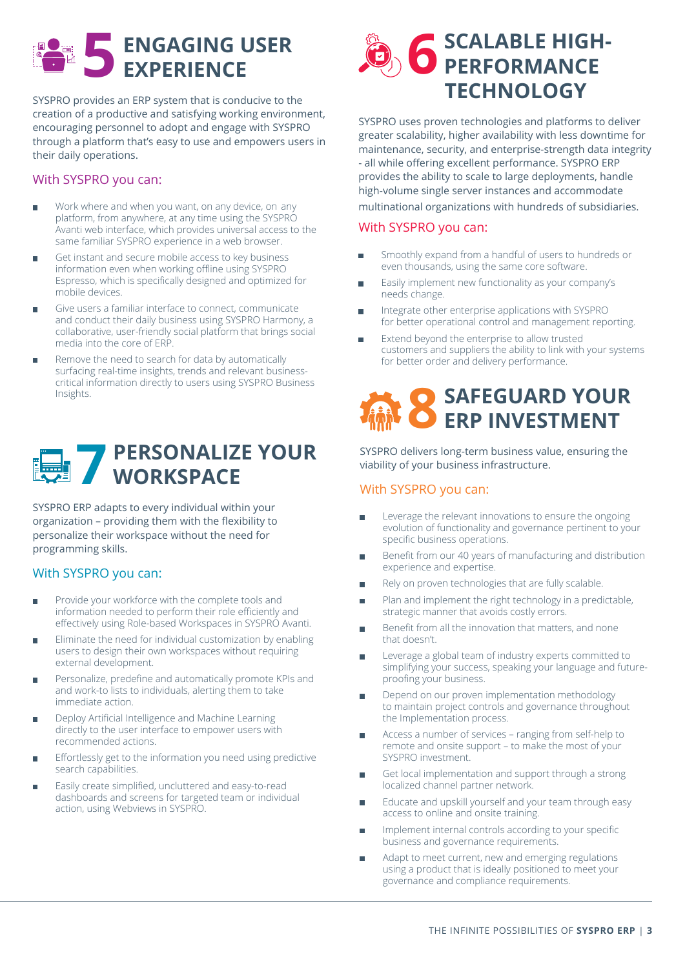# $\bigcup$  **ENGAGING USER**

SYSPRO provides an ERP system that is conducive to the creation of a productive and satisfying working environment, encouraging personnel to adopt and engage with SYSPRO through a platform that's easy to use and empowers users in their daily operations.

### With SYSPRO you can:

- Ė Work where and when you want, on any device, on any platform, from anywhere, at any time using the SYSPRO Avanti web interface, which provides universal access to the same familiar SYSPRO experience in a web browser.
- Get instant and secure mobile access to key business information even when working offline using SYSPRO Espresso, which is specifically designed and optimized for mobile devices.
- Give users a familiar interface to connect, communicate Ė and conduct their daily business using SYSPRO Harmony, a collaborative, user-friendly social platform that brings social media into the core of ERP.
- Remove the need to search for data by automatically ь surfacing real-time insights, trends and relevant businesscritical information directly to users using SYSPRO Business Insights.



SYSPRO ERP adapts to every individual within your organization – providing them with the flexibility to personalize their workspace without the need for programming skills.

### With SYSPRO you can:

- Provide your workforce with the complete tools and Ē information needed to perform their role efficiently and effectively using Role-based Workspaces in SYSPRO Avanti.
- Eliminate the need for individual customization by enabling п users to design their own workspaces without requiring external development.
- Personalize, predefine and automatically promote KPIs and m. and work-to lists to individuals, alerting them to take immediate action.
- Deploy Artificial Intelligence and Machine Learning directly to the user interface to empower users with recommended actions.
- Effortlessly get to the information you need using predictive search capabilities.
- Easily create simplified, uncluttered and easy-to-read ь dashboards and screens for targeted team or individual action, using Webviews in SYSPRO.



SYSPRO uses proven technologies and platforms to deliver greater scalability, higher availability with less downtime for maintenance, security, and enterprise-strength data integrity - all while offering excellent performance. SYSPRO ERP provides the ability to scale to large deployments, handle high-volume single server instances and accommodate multinational organizations with hundreds of subsidiaries.

### With SYSPRO you can:

- Smoothly expand from a handful of users to hundreds or Ħ even thousands, using the same core software.
- $\blacksquare$ Easily implement new functionality as your company's needs change.
- Integrate other enterprise applications with SYSPRO  $\overline{\phantom{a}}$ for better operational control and management reporting.
- Extend beyond the enterprise to allow trusted customers and suppliers the ability to link with your systems for better order and delivery performance.

# **8SAFEGUARD YOUR ERP INVESTMENT**

SYSPRO delivers long-term business value, ensuring the viability of your business infrastructure.

### With SYSPRO you can:

- Leverage the relevant innovations to ensure the ongoing  $\overline{\phantom{a}}$ evolution of functionality and governance pertinent to your specific business operations.
- Benefit from our 40 years of manufacturing and distribution  $\overline{\phantom{a}}$ experience and expertise.
- Ē Rely on proven technologies that are fully scalable.
- Plan and implement the right technology in a predictable, Ē strategic manner that avoids costly errors.
- Benefit from all the innovation that matters, and none  $\blacksquare$ that doesn't.
- Leverage a global team of industry experts committed to  $\overline{\phantom{a}}$ simplifying your success, speaking your language and futureproofing your business.
- Depend on our proven implementation methodology  $\overline{\phantom{a}}$ to maintain project controls and governance throughout the Implementation process.
- Access a number of services ranging from self-help to  $\overline{\phantom{a}}$ remote and onsite support – to make the most of your SYSPRO investment.
- Get local implementation and support through a strong localized channel partner network.
- Educate and upskill yourself and your team through easy  $\overline{\phantom{a}}$ access to online and onsite training.
- Implement internal controls according to your specific  $\overline{\phantom{a}}$ business and governance requirements.
- Adapt to meet current, new and emerging regulations Ė using a product that is ideally positioned to meet your governance and compliance requirements.